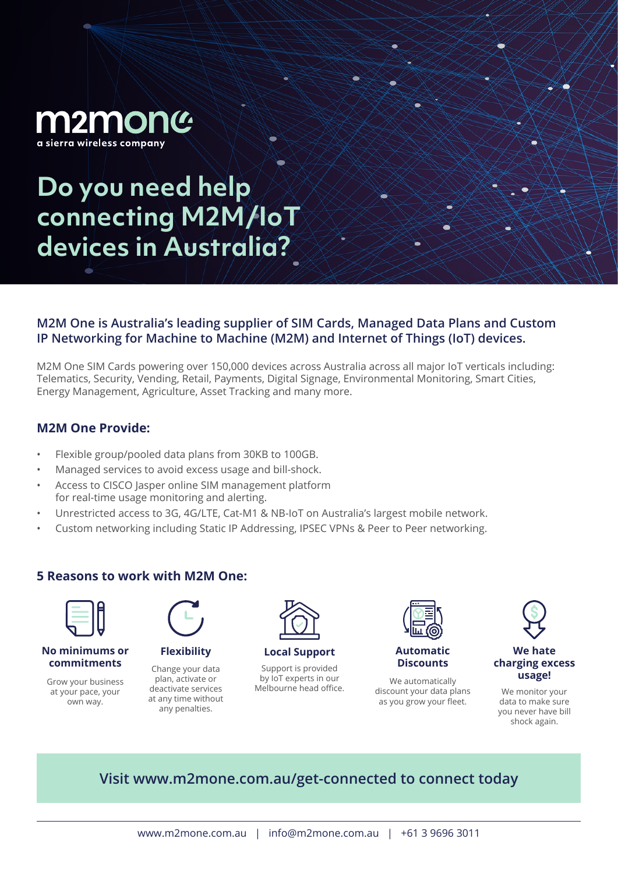

**Do you need help connecting M2M/IoT devices in Australia?**

## **M2M One is Australia's leading supplier of SIM Cards, Managed Data Plans and Custom IP Networking for Machine to Machine (M2M) and Internet of Things (IoT) devices.**

M2M One SIM Cards powering over 150,000 devices across Australia across all major IoT verticals including: Telematics, Security, Vending, Retail, Payments, Digital Signage, Environmental Monitoring, Smart Cities, Energy Management, Agriculture, Asset Tracking and many more.

# **M2M One Provide:**

- Flexible group/pooled data plans from 30KB to 100GB.
- Managed services to avoid excess usage and bill-shock.
- Access to CISCO Jasper online SIM management platform for real-time usage monitoring and alerting.
- Unrestricted access to 3G, 4G/LTE, Cat-M1 & NB-IoT on Australia's largest mobile network.
- Custom networking including Static IP Addressing, IPSEC VPNs & Peer to Peer networking.

### **5 Reasons to work with M2M One:**



**No minimums or commitments**

Grow your business at your pace, your own way.



Change your data plan, activate or deactivate services at any time without any penalties.



**Flexibility Local Support Automatic** 

Support is provided by IoT experts in our by IoT experts in our we automatically<br>Melbourne head office. Melour data pl



**Discounts**

discount your data plans as you grow your fleet.



#### **We hate charging excess usage!**

We monitor your data to make sure you never have bill shock again.

# **Visit www.m2mone.com.au/get-connected to connect today**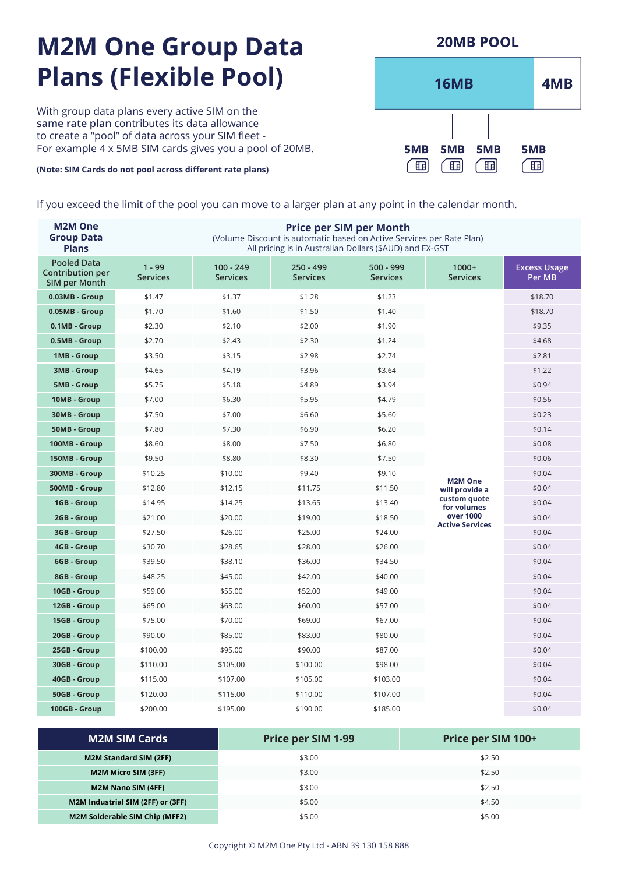# **M2M One Group Data Plans (Flexible Pool)**

With group data plans every active SIM on the **same rate plan** contributes its data allowance to create a "pool" of data across your SIM fleet - For example 4 x 5MB SIM cards gives you a pool of 20MB.

#### **(Note: SIM Cards do not pool across different rate plans)**

If you exceed the limit of the pool you can move to a larger plan at any point in the calendar month.

| <b>M2M One</b><br><b>Group Data</b><br><b>Plans</b>     | <b>Price per SIM per Month</b><br>(Volume Discount is automatic based on Active Services per Rate Plan)<br>All pricing is in Australian Dollars (\$AUD) and EX-GST |                                |                                |                              |                                     |                               |
|---------------------------------------------------------|--------------------------------------------------------------------------------------------------------------------------------------------------------------------|--------------------------------|--------------------------------|------------------------------|-------------------------------------|-------------------------------|
| <b>Pooled Data</b><br>Contribution per<br>SIM per Month | $1 - 99$<br><b>Services</b>                                                                                                                                        | $100 - 249$<br><b>Services</b> | $250 - 499$<br><b>Services</b> | 500 - 999<br><b>Services</b> | $1000+$<br><b>Services</b>          | <b>Excess Usage</b><br>Per MB |
| 0.03MB - Group                                          | \$1.47                                                                                                                                                             | \$1.37                         | \$1.28                         | \$1.23                       |                                     | \$18.70                       |
| 0.05MB - Group                                          | \$1.70                                                                                                                                                             | \$1.60                         | \$1.50                         | \$1.40                       |                                     | \$18.70                       |
| 0.1MB - Group                                           | \$2.30                                                                                                                                                             | \$2.10                         | \$2.00                         | \$1.90                       |                                     | \$9.35                        |
| 0.5MB - Group                                           | \$2.70                                                                                                                                                             | \$2.43                         | \$2.30                         | \$1.24                       |                                     | \$4.68                        |
| 1MB - Group                                             | \$3.50                                                                                                                                                             | \$3.15                         | \$2.98                         | \$2.74                       |                                     | \$2.81                        |
| 3MB - Group                                             | \$4.65                                                                                                                                                             | \$4.19                         | \$3.96                         | \$3.64                       |                                     | \$1.22                        |
| 5MB - Group                                             | \$5.75                                                                                                                                                             | \$5.18                         | \$4.89                         | \$3.94                       |                                     | \$0.94                        |
| 10MB - Group                                            | \$7.00                                                                                                                                                             | \$6.30                         | \$5.95                         | \$4.79                       |                                     | \$0.56                        |
| 30MB - Group                                            | \$7.50                                                                                                                                                             | \$7.00                         | \$6.60                         | \$5.60                       |                                     | \$0.23                        |
| 50MB - Group                                            | \$7.80                                                                                                                                                             | \$7.30                         | \$6.90                         | \$6.20                       |                                     | \$0.14                        |
| 100MB - Group                                           | \$8.60                                                                                                                                                             | \$8.00                         | \$7.50                         | \$6.80                       |                                     | \$0.08                        |
| 150MB - Group                                           | \$9.50                                                                                                                                                             | \$8.80                         | \$8.30                         | \$7.50                       |                                     | \$0.06                        |
| 300MB - Group                                           | \$10.25                                                                                                                                                            | \$10.00                        | \$9.40                         | \$9.10                       | <b>M2M One</b>                      | \$0.04                        |
| 500MB - Group                                           | \$12.80                                                                                                                                                            | \$12.15                        | \$11.75                        | \$11.50                      | will provide a                      | \$0.04                        |
| 1GB - Group                                             | \$14.95                                                                                                                                                            | \$14.25                        | \$13.65                        | \$13.40                      | custom quote<br>for volumes         | \$0.04                        |
| 2GB - Group                                             | \$21.00                                                                                                                                                            | \$20.00                        | \$19.00                        | \$18.50                      | over 1000<br><b>Active Services</b> | \$0.04                        |
| 3GB - Group                                             | \$27.50                                                                                                                                                            | \$26.00                        | \$25.00                        | \$24.00                      |                                     | \$0.04                        |
| 4GB - Group                                             | \$30.70                                                                                                                                                            | \$28.65                        | \$28.00                        | \$26.00                      |                                     | \$0.04                        |
| 6GB - Group                                             | \$39.50                                                                                                                                                            | \$38.10                        | \$36.00                        | \$34.50                      |                                     | \$0.04                        |
| 8GB - Group                                             | \$48.25                                                                                                                                                            | \$45.00                        | \$42.00                        | \$40.00                      |                                     | \$0.04                        |
| 10GB - Group                                            | \$59.00                                                                                                                                                            | \$55.00                        | \$52.00                        | \$49.00                      |                                     | \$0.04                        |
| 12GB - Group                                            | \$65.00                                                                                                                                                            | \$63.00                        | \$60.00                        | \$57.00                      |                                     | \$0.04                        |
| 15GB - Group                                            | \$75.00                                                                                                                                                            | \$70.00                        | \$69.00                        | \$67.00                      |                                     | \$0.04                        |
| 20GB - Group                                            | \$90.00                                                                                                                                                            | \$85.00                        | \$83.00                        | \$80.00                      |                                     | \$0.04                        |
| 25GB - Group                                            | \$100.00                                                                                                                                                           | \$95.00                        | \$90.00                        | \$87.00                      |                                     | \$0.04                        |
| 30GB - Group                                            | \$110.00                                                                                                                                                           | \$105.00                       | \$100.00                       | \$98.00                      |                                     | \$0.04                        |
| 40GB - Group                                            | \$115.00                                                                                                                                                           | \$107.00                       | \$105.00                       | \$103.00                     |                                     | \$0.04                        |
| 50GB - Group                                            | \$120.00                                                                                                                                                           | \$115.00                       | \$110.00                       | \$107.00                     |                                     | \$0.04                        |
| 100GB - Group                                           | \$200.00                                                                                                                                                           | \$195.00                       | \$190.00                       | \$185.00                     |                                     | \$0.04                        |

| <b>M2M SIM Cards</b>                  | <b>Price per SIM 1-99</b> | Price per SIM 100+ |
|---------------------------------------|---------------------------|--------------------|
| <b>M2M Standard SIM (2FF)</b>         | \$3.00                    | \$2.50             |
| <b>M2M Micro SIM (3FF)</b>            | \$3.00                    | \$2.50             |
| M2M Nano SIM (4FF)                    | \$3.00                    | \$2.50             |
| M2M Industrial SIM (2FF) or (3FF)     | \$5.00                    | \$4.50             |
| <b>M2M Solderable SIM Chip (MFF2)</b> | \$5.00                    | \$5.00             |

**16MB** 4MB 5MB 5MB 5MB 5MB 価  $\overline{\mathbf{E}}$ 面 個

### **20MB POOL**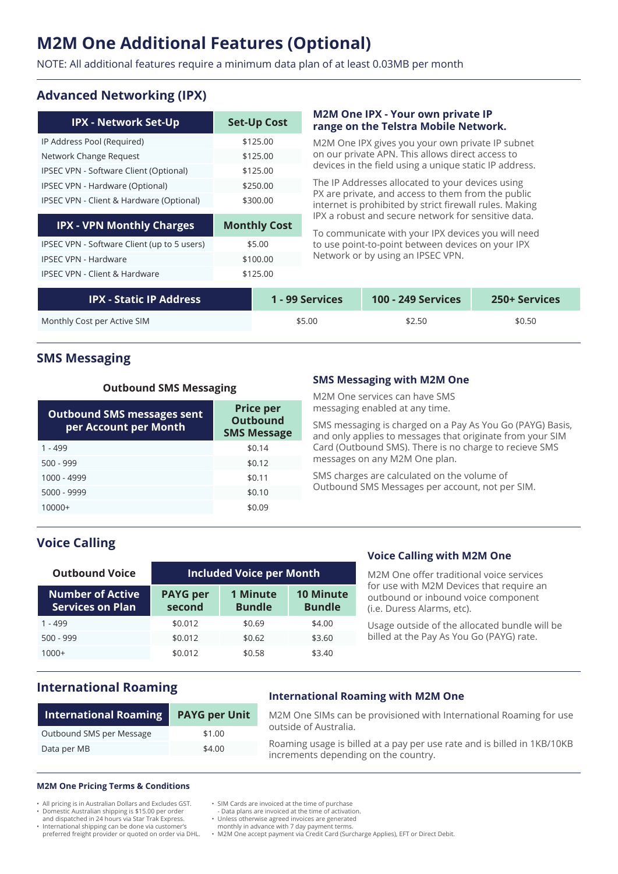# **M2M One Additional Features (Optional)**

NOTE: All additional features require a minimum data plan of at least 0.03MB per month

# **Advanced Networking (IPX)**

| <b>IPX - Network Set-Up</b>                 | <b>Set-Up Cost</b>  |
|---------------------------------------------|---------------------|
| IP Address Pool (Required)                  | \$125.00            |
| Network Change Request                      | \$125.00            |
| IPSEC VPN - Software Client (Optional)      | \$125.00            |
| IPSEC VPN - Hardware (Optional)             | \$250.00            |
| IPSEC VPN - Client & Hardware (Optional)    | \$300.00            |
| <b>IPX - VPN Monthly Charges</b>            | <b>Monthly Cost</b> |
| IPSEC VPN - Software Client (up to 5 users) | \$5.00              |
| <b>IPSEC VPN - Hardware</b>                 | \$100.00            |
| <b>IPSEC VPN - Client &amp; Hardware</b>    | \$125.00            |

#### **M2M One IPX - Your own private IP range on the Telstra Mobile Network.**

M2M One IPX gives you your own private IP subnet on our private APN. This allows direct access to devices in the field using a unique static IP address.

The IP Addresses allocated to your devices using PX are private, and access to them from the public internet is prohibited by strict firewall rules. Making IPX a robust and secure network for sensitive data.

To communicate with your IPX devices you will need to use point-to-point between devices on your IPX Network or by using an IPSEC VPN.

| <b>IPX - Static IP Address</b> | 1 - 99 Services | <b>100 - 249 Services</b> | <b>250+ Services</b> |
|--------------------------------|-----------------|---------------------------|----------------------|
| Monthly Cost per Active SIM    | \$5.00          | \$2.50                    | \$0.50               |

### **SMS Messaging**

#### **Outbound SMS Messaging**

| <b>Outbound SMS messages sent</b><br>per Account per Month | <b>Price per</b><br><b>Outbound</b><br><b>SMS Message</b> |
|------------------------------------------------------------|-----------------------------------------------------------|
| $1 - 499$                                                  | \$0.14                                                    |
| $500 - 999$                                                | \$0.12                                                    |
| 1000 - 4999                                                | \$0.11                                                    |
| 5000 - 9999                                                | \$0.10                                                    |
| $10000+$                                                   | \$0.09                                                    |

#### **SMS Messaging with M2M One**

M2M One services can have SMS messaging enabled at any time.

SMS messaging is charged on a Pay As You Go (PAYG) Basis, and only applies to messages that originate from your SIM Card (Outbound SMS). There is no charge to recieve SMS messages on any M2M One plan.

SMS charges are calculated on the volume of Outbound SMS Messages per account, not per SIM.

# **Voice Calling**

| <b>Outbound Voice</b>                              | <b>Included Voice per Month</b> |                                  |                                   |  |
|----------------------------------------------------|---------------------------------|----------------------------------|-----------------------------------|--|
| <b>Number of Active</b><br><b>Services on Plan</b> | <b>PAYG per</b><br>second       | <b>1 Minute</b><br><b>Bundle</b> | <b>10 Minute</b><br><b>Bundle</b> |  |
| $1 - 499$                                          | \$0.012                         | \$0.69                           | \$4.00                            |  |
| $500 - 999$                                        | \$0.012                         | \$0.62                           | \$3.60                            |  |
| $1000+$                                            | \$0.012                         | \$0.58                           | \$3.40                            |  |

#### **Voice Calling with M2M One**

M2M One offer traditional voice services for use with M2M Devices that require an outbound or inbound voice component (i.e. Duress Alarms, etc).

Usage outside of the allocated bundle will be billed at the Pay As You Go (PAYG) rate.

# **International Roaming**

| <b>International Roaming</b> | <b>PAYG per Unit</b> |  |
|------------------------------|----------------------|--|
| Outbound SMS per Message     | \$1.00               |  |
| Data per MB                  | \$4.00               |  |

#### **International Roaming with M2M One**

M2M One SIMs can be provisioned with International Roaming for use outside of Australia. Roaming usage is billed at a pay per use rate and is billed in 1KB/10KB

increments depending on the country.

#### **M2M One Pricing Terms & Conditions**

• All pricing is in Australian Dollars and Excludes GST.

• Domestic Australian shipping is \$15.00 per order and dispatched in 24 hours via Star Trak Express.

• International shipping can be done via customer's preferred freight provider or quoted on order via DHL.

- SIM Cards are invoiced at the time of purchase
- Data plans are invoiced at the time of activation. Unless otherwise agreed invoices are generated
	-

monthly in advance with 7 day payment terms. • M2M One accept payment via Credit Card (Surcharge Applies), EFT or Direct Debit.